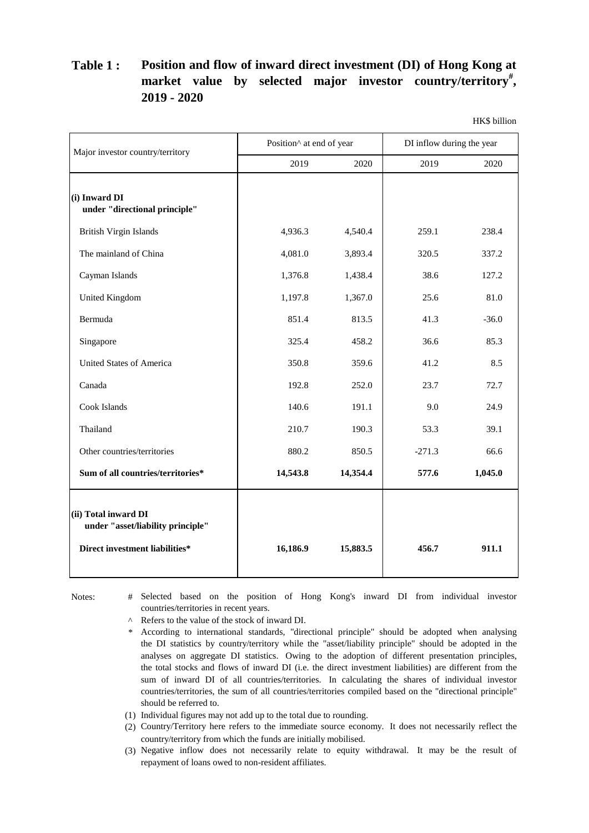## **Table 1 : Position and flow of inward direct investment (DI) of Hong Kong at market value by selected major investor country/territory# , 2019 - 2020**

HK\$ billion

| Major investor country/territory                                                            | Position <sup>^</sup> at end of year |          | DI inflow during the year |         |
|---------------------------------------------------------------------------------------------|--------------------------------------|----------|---------------------------|---------|
|                                                                                             | 2019                                 | 2020     | 2019                      | 2020    |
| (i) Inward DI<br>under "directional principle"                                              |                                      |          |                           |         |
| <b>British Virgin Islands</b>                                                               | 4,936.3                              | 4,540.4  | 259.1                     | 238.4   |
| The mainland of China                                                                       | 4,081.0                              | 3,893.4  | 320.5                     | 337.2   |
| Cayman Islands                                                                              | 1,376.8                              | 1,438.4  | 38.6                      | 127.2   |
| <b>United Kingdom</b>                                                                       | 1,197.8                              | 1,367.0  | 25.6                      | 81.0    |
| Bermuda                                                                                     | 851.4                                | 813.5    | 41.3                      | $-36.0$ |
| Singapore                                                                                   | 325.4                                | 458.2    | 36.6                      | 85.3    |
| <b>United States of America</b>                                                             | 350.8                                | 359.6    | 41.2                      | 8.5     |
| Canada                                                                                      | 192.8                                | 252.0    | 23.7                      | 72.7    |
| Cook Islands                                                                                | 140.6                                | 191.1    | 9.0                       | 24.9    |
| Thailand                                                                                    | 210.7                                | 190.3    | 53.3                      | 39.1    |
| Other countries/territories                                                                 | 880.2                                | 850.5    | $-271.3$                  | 66.6    |
| Sum of all countries/territories*                                                           | 14,543.8                             | 14,354.4 | 577.6                     | 1,045.0 |
| (ii) Total inward DI<br>under "asset/liability principle"<br>Direct investment liabilities* | 16,186.9                             | 15,883.5 | 456.7                     | 911.1   |

Notes:

Selected based on the position of Hong Kong's inward DI from individual investor countries/territories in recent years.

- ^ Refers to the value of the stock of inward DI.
- \* According to international standards, "directional principle" should be adopted when analysing the DI statistics by country/territory while the "asset/liability principle" should be adopted in the analyses on aggregate DI statistics. Owing to the adoption of different presentation principles, the total stocks and flows of inward DI (i.e. the direct investment liabilities) are different from the sum of inward DI of all countries/territories. In calculating the shares of individual investor countries/territories, the sum of all countries/territories compiled based on the "directional principle" should be referred to.
- (1) Individual figures may not add up to the total due to rounding.
- (2) Country/Territory here refers to the immediate source economy. It does not necessarily reflect the country/territory from which the funds are initially mobilised.
- (3) Negative inflow does not necessarily relate to equity withdrawal. It may be the result of repayment of loans owed to non-resident affiliates.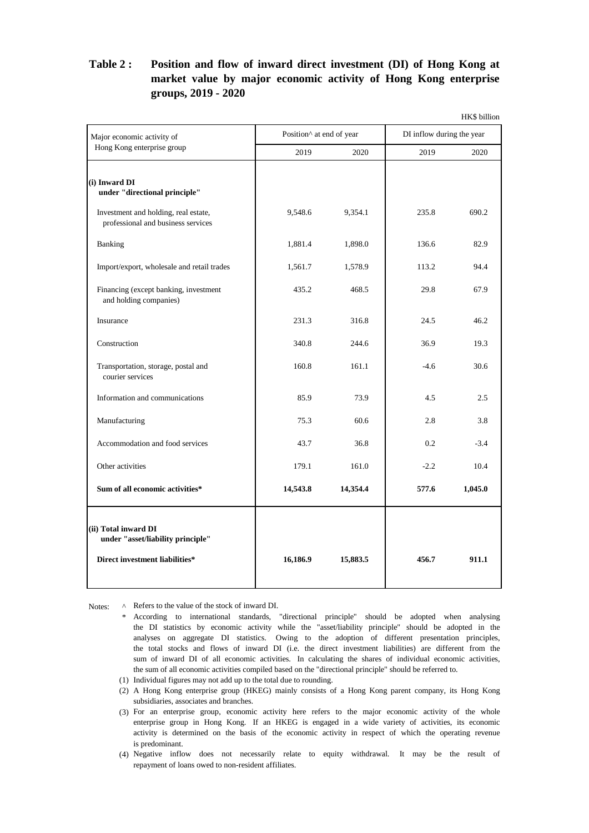## **market value by major economic activity of Hong Kong enterprise groups, 2019 - 2020 Table 2 : Position and flow of inward direct investment (DI) of Hong Kong at**

| Position^ at end of year<br>2020<br>9,548.6<br>9,354.1<br>1.881.4<br>1,898.0<br>1,561.7<br>1,578.9<br>435.2<br>468.5 | 2019<br>235.8<br>136.6<br>113.2      | DI inflow during the year<br>2020<br>690.2<br>82.9 |
|----------------------------------------------------------------------------------------------------------------------|--------------------------------------|----------------------------------------------------|
|                                                                                                                      |                                      |                                                    |
|                                                                                                                      |                                      |                                                    |
|                                                                                                                      |                                      |                                                    |
|                                                                                                                      |                                      |                                                    |
|                                                                                                                      |                                      |                                                    |
|                                                                                                                      |                                      | 94.4                                               |
|                                                                                                                      | 29.8                                 | 67.9                                               |
| 231.3<br>316.8                                                                                                       | 24.5                                 | 46.2                                               |
| 244.6                                                                                                                | 36.9                                 | 19.3                                               |
| 161.1                                                                                                                | $-4.6$                               | 30.6                                               |
| 73.9                                                                                                                 | 4.5                                  | 2.5                                                |
| 60.6                                                                                                                 | 2.8                                  | 3.8                                                |
| 36.8                                                                                                                 | 0.2                                  | $-3.4$                                             |
| 161.0                                                                                                                | $-2.2$                               | 10.4                                               |
| 14,354.4                                                                                                             | 577.6                                | 1,045.0                                            |
|                                                                                                                      | 456.7                                | 911.1                                              |
|                                                                                                                      | 75.3<br>43.7<br>14,543.8<br>15,883.5 |                                                    |

Notes: ^ A Refers to the value of the stock of inward DI.

- \* According to international standards, "directional principle" should be adopted when analysing the sum of all economic activities compiled based on the "directional principle" should be referred to. sum of inward DI of all economic activities. In calculating the shares of individual economic activities, the DI statistics by economic activity while the "asset/liability principle" should be adopted in the analyses on aggregate DI statistics. Owing to the adoption of different presentation principles, the total stocks and flows of inward DI (i.e. the direct investment liabilities) are different from the
- (1) Individual figures may not add up to the total due to rounding.
- (2) A Hong Kong enterprise group (HKEG) mainly consists of a Hong Kong parent company, its Hong Kong subsidiaries, associates and branches.
- (3) For an enterprise group, economic activity here refers to the major economic activity of the whole is predominant. enterprise group in Hong Kong. If an HKEG is engaged in a wide variety of activities, its economic activity is determined on the basis of the economic activity in respect of which the operating revenue
- (4) Negative inflow does not necessarily relate to equity withdrawal. It may be the result of repayment of loans owed to non-resident affiliates.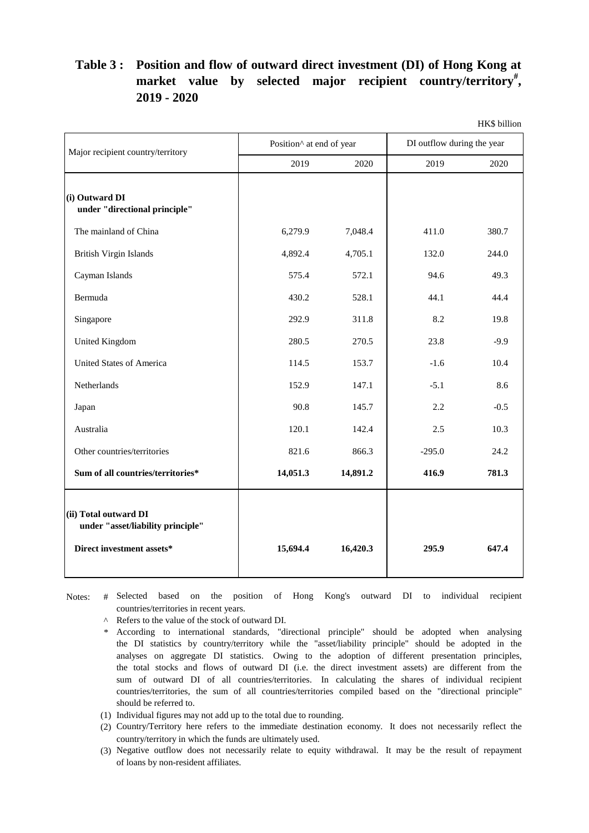## **Position and flow of outward direct investment (DI) of Hong Kong at Table 3 : market value by selected major recipient country/territory# , 2019 - 2020**

|                                                                                         |                                      |          |                            | HK\$ billion |
|-----------------------------------------------------------------------------------------|--------------------------------------|----------|----------------------------|--------------|
| Major recipient country/territory                                                       | Position <sup>^</sup> at end of year |          | DI outflow during the year |              |
|                                                                                         | 2019                                 | 2020     | 2019                       | 2020         |
| (i) Outward DI<br>under "directional principle"                                         |                                      |          |                            |              |
| The mainland of China                                                                   | 6,279.9                              | 7,048.4  | 411.0                      | 380.7        |
| British Virgin Islands                                                                  | 4,892.4                              | 4,705.1  | 132.0                      | 244.0        |
| Cayman Islands                                                                          | 575.4                                | 572.1    | 94.6                       | 49.3         |
| Bermuda                                                                                 | 430.2                                | 528.1    | 44.1                       | 44.4         |
| Singapore                                                                               | 292.9                                | 311.8    | 8.2                        | 19.8         |
| <b>United Kingdom</b>                                                                   | 280.5                                | 270.5    | 23.8                       | $-9.9$       |
| <b>United States of America</b>                                                         | 114.5                                | 153.7    | $-1.6$                     | 10.4         |
| Netherlands                                                                             | 152.9                                | 147.1    | $-5.1$                     | 8.6          |
| Japan                                                                                   | 90.8                                 | 145.7    | 2.2                        | $-0.5$       |
| Australia                                                                               | 120.1                                | 142.4    | 2.5                        | 10.3         |
| Other countries/territories                                                             | 821.6                                | 866.3    | $-295.0$                   | 24.2         |
| Sum of all countries/territories*                                                       | 14,051.3                             | 14,891.2 | 416.9                      | 781.3        |
| (ii) Total outward DI<br>under "asset/liability principle"<br>Direct investment assets* | 15,694.4                             | 16,420.3 | 295.9                      | 647.4        |

Notes: # Selected based on the position of Hong Kong's outward DI to individual recipient countries/territories in recent years.

^ Refers to the value of the stock of outward DI.

\* According to international standards, "directional principle" should be adopted when analysing sum of outward DI of all countries/territories. In calculating the shares of individual recipient the DI statistics by country/territory while the "asset/liability principle" should be adopted in the analyses on aggregate DI statistics. Owing to the adoption of different presentation principles, the total stocks and flows of outward DI (i.e. the direct investment assets) are different from the countries/territories, the sum of all countries/territories compiled based on the "directional principle" should be referred to.

(1) Individual figures may not add up to the total due to rounding.

(2) Country/Territory here refers to the immediate destination economy. It does not necessarily reflect the country/territory in which the funds are ultimately used.

(3) Negative outflow does not necessarily relate to equity withdrawal. It may be the result of repayment of loans by non-resident affiliates.